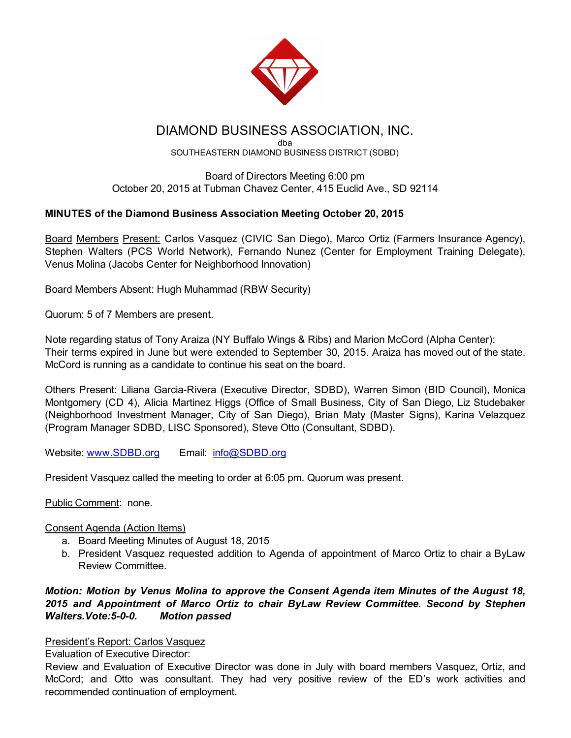

# DIAMOND BUSINESS ASSOCIATION, INC.

dba SOUTHEASTERN DIAMOND BUSINESS DISTRICT (SDBD)

Board of Directors Meeting 6:00 pm October 20, 2015 at Tubman Chavez Center, 415 Euclid Ave., SD 92114

# MINUTES of the Diamond Business Association Meeting October 20, 2015

Board Members Present: Carlos Vasquez (CIVIC San Diego), Marco Ortiz (Farmers Insurance Agency), Stephen Walters (PCS World Network), Fernando Nunez (Center for Employment Training Delegate), Venus Molina (Jacobs Center for Neighborhood Innovation)

Board Members Absent: Hugh Muhammad (RBW Security)

Quorum: 5 of 7 Members are present.

Note regarding status of Tony Araiza (NY Buffalo Wings & Ribs) and Marion McCord (Alpha Center): Their terms expired in June but were extended to September 30, 2015. Araiza has moved out of the state. McCord is running as a candidate to continue his seat on the board.

Others Present: Liliana Garcia-Rivera (Executive Director, SDBD), Warren Simon (BID Council), Monica Montgomery (CD 4), Alicia Martinez Higgs (Office of Small Business, City of San Diego, Liz Studebaker (Neighborhood Investment Manager, City of San Diego), Brian Maty (Master Signs), Karina Velazquez (Program Manager SDBD, LISC Sponsored), Steve Otto (Consultant, SDBD).

Website: [www.SDBD.org](http://www.sdbd.org/) Email: [info@SDBD.org](mailto:info@SDBD.org)

President Vasquez called the meeting to order at 6:05 pm. Quorum was present.

Public Comment: none.

## Consent Agenda (Action Items)

- a. Board Meeting Minutes of August 18, 2015
- b. President Vasquez requested addition to Agenda of appointment of Marco Ortiz to chair a ByLaw Review Committee.

## *Motion: Motion by Venus Molina to approve the Consent Agenda item Minutes of the August 18, 2015 and Appointment of Marco Ortiz to chair ByLaw Review Committee. Second by Stephen Walters.Vote:500. Motion passed*

## President's Report: Carlos Vasquez

Evaluation of Executive Director:

Review and Evaluation of Executive Director was done in July with board members Vasquez, Ortiz, and McCord; and Otto was consultant. They had very positive review of the ED's work activities and recommended continuation of employment.